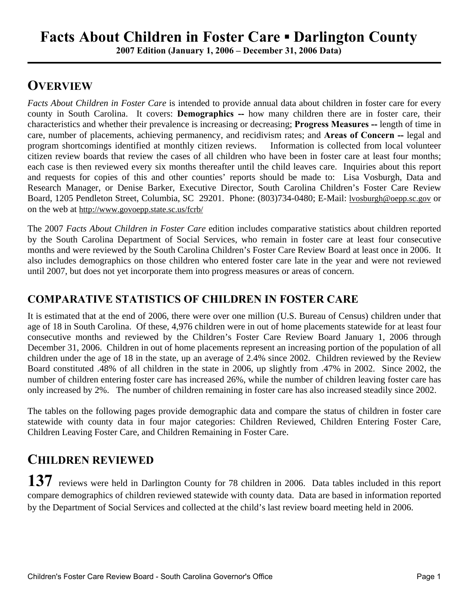## **Facts About Children in Foster Care ▪ Darlington County**

**2007 Edition (January 1, 2006 – December 31, 2006 Data)**

### **OVERVIEW**

*Facts About Children in Foster Care* is intended to provide annual data about children in foster care for every county in South Carolina. It covers: **Demographics --** how many children there are in foster care, their characteristics and whether their prevalence is increasing or decreasing; **Progress Measures --** length of time in care, number of placements, achieving permanency, and recidivism rates; and **Areas of Concern --** legal and program shortcomings identified at monthly citizen reviews. Information is collected from local volunteer citizen review boards that review the cases of all children who have been in foster care at least four months; each case is then reviewed every six months thereafter until the child leaves care. Inquiries about this report and requests for copies of this and other counties' reports should be made to: Lisa Vosburgh, Data and Research Manager, or Denise Barker, Executive Director, South Carolina Children's Foster Care Review Board, 1205 Pendleton Street, Columbia, SC 29201. Phone: (803)734-0480; E-Mail: lvosburgh@oepp.sc.gov or on the web at http://www.govoepp.state.sc.us/fcrb/

The 2007 *Facts About Children in Foster Care* edition includes comparative statistics about children reported by the South Carolina Department of Social Services, who remain in foster care at least four consecutive months and were reviewed by the South Carolina Children's Foster Care Review Board at least once in 2006. It also includes demographics on those children who entered foster care late in the year and were not reviewed until 2007, but does not yet incorporate them into progress measures or areas of concern.

#### **COMPARATIVE STATISTICS OF CHILDREN IN FOSTER CARE**

It is estimated that at the end of 2006, there were over one million (U.S. Bureau of Census) children under that age of 18 in South Carolina. Of these, 4,976 children were in out of home placements statewide for at least four consecutive months and reviewed by the Children's Foster Care Review Board January 1, 2006 through December 31, 2006. Children in out of home placements represent an increasing portion of the population of all children under the age of 18 in the state, up an average of 2.4% since 2002. Children reviewed by the Review Board constituted .48% of all children in the state in 2006, up slightly from .47% in 2002. Since 2002, the number of children entering foster care has increased 26%, while the number of children leaving foster care has only increased by 2%. The number of children remaining in foster care has also increased steadily since 2002.

The tables on the following pages provide demographic data and compare the status of children in foster care statewide with county data in four major categories: Children Reviewed, Children Entering Foster Care, Children Leaving Foster Care, and Children Remaining in Foster Care.

### **CHILDREN REVIEWED**

137 reviews were held in Darlington County for 78 children in 2006. Data tables included in this report compare demographics of children reviewed statewide with county data. Data are based in information reported by the Department of Social Services and collected at the child's last review board meeting held in 2006.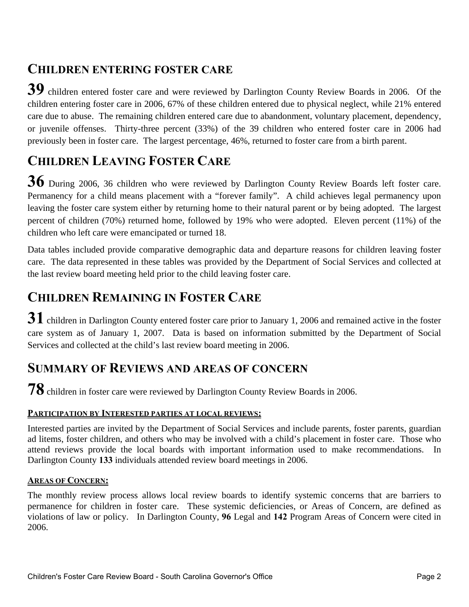### **CHILDREN ENTERING FOSTER CARE**

**39** children entered foster care and were reviewed by Darlington County Review Boards in 2006. Of the children entering foster care in 2006, 67% of these children entered due to physical neglect, while 21% entered care due to abuse. The remaining children entered care due to abandonment, voluntary placement, dependency, or juvenile offenses. Thirty-three percent (33%) of the 39 children who entered foster care in 2006 had previously been in foster care. The largest percentage, 46%, returned to foster care from a birth parent.

## **CHILDREN LEAVING FOSTER CARE**

**36** During 2006, 36 children who were reviewed by Darlington County Review Boards left foster care. Permanency for a child means placement with a "forever family". A child achieves legal permanency upon leaving the foster care system either by returning home to their natural parent or by being adopted. The largest percent of children (70%) returned home, followed by 19% who were adopted. Eleven percent (11%) of the children who left care were emancipated or turned 18.

Data tables included provide comparative demographic data and departure reasons for children leaving foster care. The data represented in these tables was provided by the Department of Social Services and collected at the last review board meeting held prior to the child leaving foster care.

## **CHILDREN REMAINING IN FOSTER CARE**

31 children in Darlington County entered foster care prior to January 1, 2006 and remained active in the foster care system as of January 1, 2007. Data is based on information submitted by the Department of Social Services and collected at the child's last review board meeting in 2006.

### **SUMMARY OF REVIEWS AND AREAS OF CONCERN**

**78** children in foster care were reviewed by Darlington County Review Boards in 2006.

#### **PARTICIPATION BY INTERESTED PARTIES AT LOCAL REVIEWS:**

Interested parties are invited by the Department of Social Services and include parents, foster parents, guardian ad litems, foster children, and others who may be involved with a child's placement in foster care. Those who attend reviews provide the local boards with important information used to make recommendations. In Darlington County **133** individuals attended review board meetings in 2006.

#### **AREAS OF CONCERN:**

The monthly review process allows local review boards to identify systemic concerns that are barriers to permanence for children in foster care. These systemic deficiencies, or Areas of Concern, are defined as violations of law or policy. In Darlington County, **96** Legal and **142** Program Areas of Concern were cited in 2006.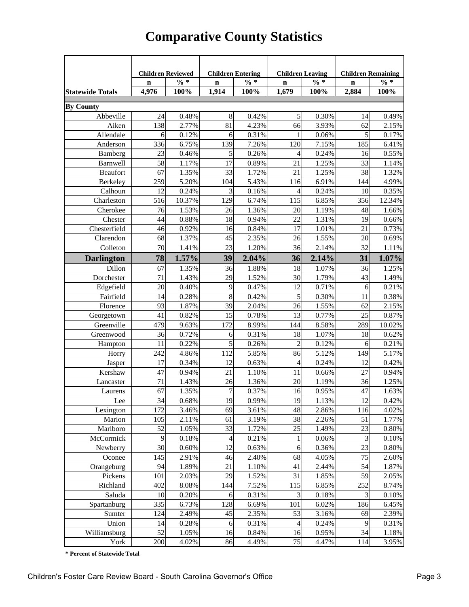|                               | <b>Children Reviewed</b> |        | <b>Children Entering</b> |        | <b>Children Leaving</b>  |        | <b>Children Remaining</b> |          |
|-------------------------------|--------------------------|--------|--------------------------|--------|--------------------------|--------|---------------------------|----------|
|                               | $\mathbf n$              | $\% *$ | $\mathbf n$              | $\% *$ | $\mathbf n$              | $\% *$ | $\mathbf n$               | $\% *$   |
| <b>Statewide Totals</b>       | 4,976                    | 100%   | 1,914                    | 100%   | 1,679                    | 100%   | 2,884                     | 100%     |
|                               |                          |        |                          |        |                          |        |                           |          |
| <b>By County</b><br>Abbeville | 24                       | 0.48%  | 8                        | 0.42%  | 5                        | 0.30%  | 14                        | 0.49%    |
| Aiken                         | 138                      | 2.77%  | 81                       | 4.23%  | 66                       | 3.93%  | 62                        | 2.15%    |
| Allendale                     | 6                        | 0.12%  | 6                        | 0.31%  | 1                        | 0.06%  | 5                         | 0.17%    |
| Anderson                      | 336                      | 6.75%  | 139                      | 7.26%  | 120                      | 7.15%  | 185                       | 6.41%    |
| Bamberg                       | 23                       | 0.46%  | $\sqrt{5}$               | 0.26%  | 4                        | 0.24%  | 16                        | 0.55%    |
| Barnwell                      | 58                       | 1.17%  | 17                       | 0.89%  | 21                       | 1.25%  | 33                        | 1.14%    |
| Beaufort                      | 67                       | 1.35%  | 33                       | 1.72%  | 21                       | 1.25%  | 38                        | 1.32%    |
| Berkeley                      | 259                      | 5.20%  | 104                      | 5.43%  | 116                      | 6.91%  | 144                       | 4.99%    |
| Calhoun                       | 12                       | 0.24%  | 3                        | 0.16%  | 4                        | 0.24%  | 10                        | 0.35%    |
| Charleston                    | 516                      | 10.37% | 129                      | 6.74%  | 115                      | 6.85%  | 356                       | 12.34%   |
| Cherokee                      | 76                       | 1.53%  | 26                       | 1.36%  | 20                       | 1.19%  | 48                        | 1.66%    |
| Chester                       | 44                       | 0.88%  | 18                       | 0.94%  | 22                       | 1.31%  | 19                        | 0.66%    |
| Chesterfield                  | 46                       | 0.92%  | 16                       | 0.84%  | 17                       | 1.01%  | 21                        | 0.73%    |
| Clarendon                     | 68                       | 1.37%  | 45                       | 2.35%  | 26                       | 1.55%  | 20                        | 0.69%    |
| Colleton                      | 70                       | 1.41%  | 23                       | 1.20%  | 36                       | 2.14%  | 32                        | 1.11%    |
| <b>Darlington</b>             | 78                       | 1.57%  | 39                       | 2.04%  | 36                       | 2.14%  | 31                        | 1.07%    |
| Dillon                        | 67                       | 1.35%  | 36                       | 1.88%  | 18                       | 1.07%  | 36                        | 1.25%    |
| Dorchester                    | 71                       | 1.43%  | 29                       | 1.52%  | 30                       | 1.79%  | 43                        | 1.49%    |
| Edgefield                     | 20                       | 0.40%  | 9                        | 0.47%  | 12                       | 0.71%  | 6                         | 0.21%    |
| Fairfield                     | 14                       | 0.28%  | 8                        | 0.42%  | 5                        | 0.30%  | 11                        | 0.38%    |
| Florence                      | 93                       | 1.87%  | 39                       | 2.04%  | 26                       | 1.55%  | 62                        | 2.15%    |
| Georgetown                    | 41                       | 0.82%  | 15                       | 0.78%  | 13                       | 0.77%  | 25                        | 0.87%    |
| Greenville                    | 479                      | 9.63%  | 172                      | 8.99%  | 144                      | 8.58%  | 289                       | 10.02%   |
| Greenwood                     | 36                       | 0.72%  | 6                        | 0.31%  | 18                       | 1.07%  | 18                        | 0.62%    |
| Hampton                       | 11                       | 0.22%  | 5                        | 0.26%  | $\overline{c}$           | 0.12%  | 6                         | 0.21%    |
| Horry                         | 242                      | 4.86%  | 112                      | 5.85%  | 86                       | 5.12%  | 149                       | 5.17%    |
| Jasper                        | 17                       | 0.34%  | 12                       | 0.63%  | 4                        | 0.24%  | 12                        | 0.42%    |
| Kershaw                       | 47                       | 0.94%  | 21                       | 1.10%  | 11                       | 0.66%  | 27                        | 0.94%    |
| Lancaster                     | 71                       | 1.43%  | 26                       | 1.36%  | 20                       | 1.19%  | 36                        | 1.25%    |
| Laurens                       | 67                       | 1.35%  | 7                        | 0.37%  | 16                       | 0.95%  | 47                        | 1.63%    |
| Lee                           | 34                       | 0.68%  | 19                       | 0.99%  | 19                       | 1.13%  | 12                        | 0.42%    |
| Lexington                     | 172                      | 3.46%  | 69                       | 3.61%  | 48                       | 2.86%  | 116                       | 4.02%    |
| Marion                        | 105                      | 2.11%  | 61                       | 3.19%  | 38                       | 2.26%  | 51                        | 1.77%    |
| Marlboro                      | 52                       | 1.05%  | 33                       | 1.72%  | 25                       | 1.49%  | 23                        | $0.80\%$ |
| McCormick                     | 9                        | 0.18%  | $\overline{\mathcal{A}}$ | 0.21%  | 1                        | 0.06%  | 3                         | 0.10%    |
| Newberry                      | 30                       | 0.60%  | 12                       | 0.63%  | $\sqrt{6}$               | 0.36%  | 23                        | 0.80%    |
| Oconee                        | 145                      | 2.91%  | 46                       | 2.40%  | 68                       | 4.05%  | 75                        | 2.60%    |
| Orangeburg                    | 94                       | 1.89%  | 21                       | 1.10%  | 41                       | 2.44%  | 54                        | 1.87%    |
| Pickens                       | 101                      | 2.03%  | 29                       | 1.52%  | 31                       | 1.85%  | 59                        | 2.05%    |
| Richland                      | 402                      | 8.08%  | 144                      | 7.52%  | 115                      | 6.85%  | 252                       | 8.74%    |
| Saluda                        | 10                       | 0.20%  | 6                        | 0.31%  | $\mathfrak{Z}$           | 0.18%  | 3                         | 0.10%    |
| Spartanburg                   | 335                      | 6.73%  | 128                      | 6.69%  | 101                      | 6.02%  | 186                       | 6.45%    |
| Sumter                        | 124                      | 2.49%  | 45                       | 2.35%  | 53                       | 3.16%  | 69                        | 2.39%    |
| Union                         | 14                       | 0.28%  | 6                        | 0.31%  | $\overline{\mathcal{L}}$ | 0.24%  | 9                         | 0.31%    |
| Williamsburg                  | 52                       | 1.05%  | 16                       | 0.84%  | 16                       | 0.95%  | 34                        | 1.18%    |
| York                          | 200                      | 4.02%  | 86                       | 4.49%  | 75                       | 4.47%  | 114                       | 3.95%    |

## **Comparative County Statistics**

**\* Percent of Statewide Total**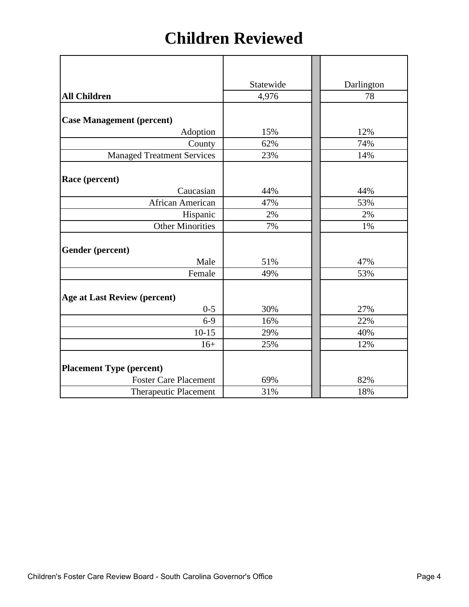## **Children Reviewed**

|                                     | Statewide | Darlington |
|-------------------------------------|-----------|------------|
| <b>All Children</b>                 | 4,976     | 78         |
|                                     |           |            |
| <b>Case Management (percent)</b>    |           |            |
| Adoption                            | 15%       | 12%        |
| County                              | 62%       | 74%        |
| <b>Managed Treatment Services</b>   | 23%       | 14%        |
|                                     |           |            |
| Race (percent)                      |           |            |
| Caucasian                           | 44%       | 44%        |
| African American                    | 47%       | 53%        |
| Hispanic                            | 2%        | 2%         |
| <b>Other Minorities</b>             | 7%        | 1%         |
|                                     |           |            |
| Gender (percent)                    |           |            |
| Male                                | 51%       | 47%        |
| Female                              | 49%       | 53%        |
|                                     |           |            |
| <b>Age at Last Review (percent)</b> |           |            |
| $0 - 5$                             | 30%       | 27%        |
| $6-9$                               | 16%       | 22%        |
| $10-15$                             | 29%       | 40%        |
| $16+$                               | 25%       | 12%        |
|                                     |           |            |
| <b>Placement Type (percent)</b>     |           |            |
| <b>Foster Care Placement</b>        | 69%       | 82%        |
| <b>Therapeutic Placement</b>        | 31%       | 18%        |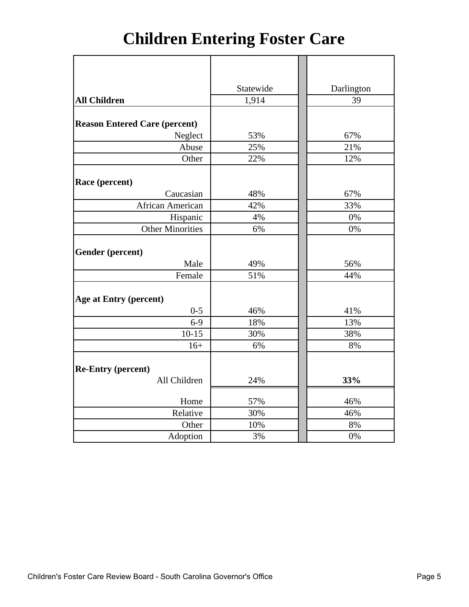# **Children Entering Foster Care**

|                                      | Statewide | Darlington |
|--------------------------------------|-----------|------------|
| <b>All Children</b>                  | 1,914     | 39         |
|                                      |           |            |
| <b>Reason Entered Care (percent)</b> |           |            |
| Neglect                              | 53%       | 67%        |
| Abuse                                | 25%       | 21%        |
| Other                                | 22%       | 12%        |
|                                      |           |            |
| Race (percent)                       |           |            |
| Caucasian                            | 48%       | 67%        |
| African American                     | 42%       | 33%        |
| Hispanic                             | 4%        | 0%         |
| <b>Other Minorities</b>              | 6%        | 0%         |
|                                      |           |            |
| Gender (percent)                     |           |            |
| Male                                 | 49%       | 56%        |
| Female                               | 51%       | 44%        |
|                                      |           |            |
| <b>Age at Entry (percent)</b>        |           |            |
| $0 - 5$                              | 46%       | 41%        |
| $6-9$                                | 18%       | 13%        |
| $10-15$                              | 30%       | 38%        |
| $16+$                                | 6%        | 8%         |
|                                      |           |            |
| <b>Re-Entry (percent)</b>            |           |            |
| All Children                         | 24%       | 33%        |
|                                      |           |            |
| Home                                 | 57%       | 46%        |
| Relative                             | 30%       | 46%        |
| Other                                | 10%       | 8%         |
| Adoption                             | 3%        | 0%         |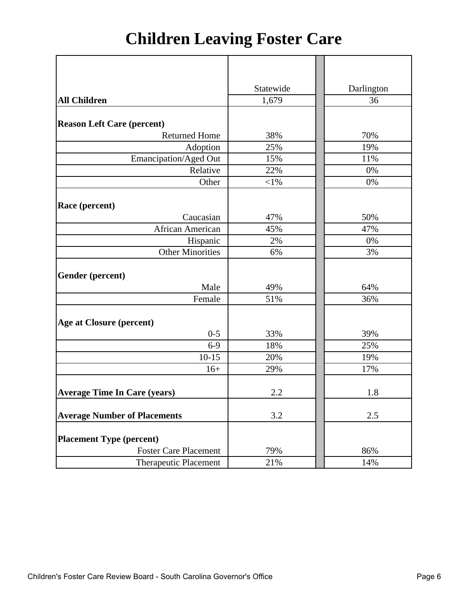# **Children Leaving Foster Care**

|                                     | Statewide | Darlington |  |  |
|-------------------------------------|-----------|------------|--|--|
| <b>All Children</b>                 | 1,679     | 36         |  |  |
|                                     |           |            |  |  |
| <b>Reason Left Care (percent)</b>   |           |            |  |  |
| <b>Returned Home</b>                | 38%       | 70%        |  |  |
| Adoption                            | 25%       | 19%        |  |  |
| Emancipation/Aged Out               | 15%       | 11%        |  |  |
| Relative                            | 22%       | 0%         |  |  |
| Other                               | $<$ 1%    | 0%         |  |  |
|                                     |           |            |  |  |
| Race (percent)                      |           |            |  |  |
| Caucasian                           | 47%       | 50%        |  |  |
| African American                    | 45%       | 47%        |  |  |
| Hispanic                            | 2%        | 0%         |  |  |
| <b>Other Minorities</b>             | 6%        | 3%         |  |  |
|                                     |           |            |  |  |
| Gender (percent)                    |           |            |  |  |
| Male                                | 49%       | 64%        |  |  |
| Female                              | 51%       | 36%        |  |  |
|                                     |           |            |  |  |
| <b>Age at Closure (percent)</b>     |           |            |  |  |
| $0 - 5$                             | 33%       | 39%        |  |  |
| $6-9$                               | 18%       | 25%        |  |  |
| $10 - 15$                           | 20%       | 19%        |  |  |
| $16+$                               | 29%       | 17%        |  |  |
|                                     |           |            |  |  |
| <b>Average Time In Care (years)</b> | 2.2       | 1.8        |  |  |
|                                     |           |            |  |  |
| <b>Average Number of Placements</b> | 3.2       | 2.5        |  |  |
|                                     |           |            |  |  |
| <b>Placement Type (percent)</b>     |           |            |  |  |
| <b>Foster Care Placement</b>        | 79%       | 86%        |  |  |
| <b>Therapeutic Placement</b>        | 21%       | 14%        |  |  |
|                                     |           |            |  |  |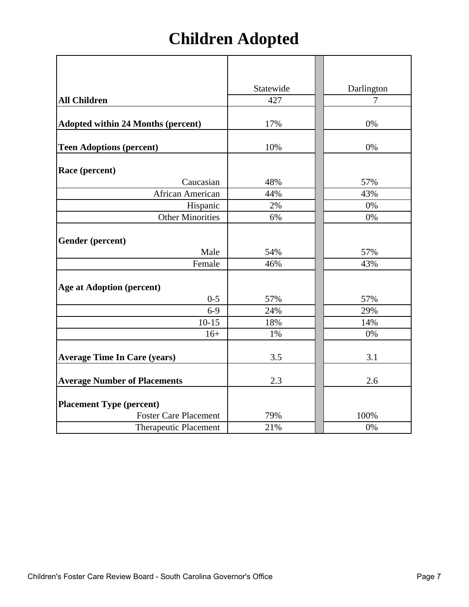# **Children Adopted**

|                                           | Statewide | Darlington |
|-------------------------------------------|-----------|------------|
| <b>All Children</b>                       | 427       | 7          |
| <b>Adopted within 24 Months (percent)</b> | 17%       | 0%         |
| <b>Teen Adoptions (percent)</b>           | 10%       | 0%         |
| Race (percent)                            |           |            |
| Caucasian                                 | 48%       | 57%        |
| African American                          | 44%<br>2% | 43%<br>0%  |
| Hispanic<br><b>Other Minorities</b>       | 6%        | 0%         |
|                                           |           |            |
| Gender (percent)                          |           |            |
| Male                                      | 54%       | 57%        |
| Female                                    | 46%       | 43%        |
| <b>Age at Adoption (percent)</b>          |           |            |
| $0 - 5$                                   | 57%       | 57%        |
| $6-9$                                     | 24%       | 29%        |
| $10-15$                                   | 18%       | 14%        |
| $16+$                                     | 1%        | 0%         |
| <b>Average Time In Care (years)</b>       | 3.5       | 3.1        |
| <b>Average Number of Placements</b>       | 2.3       | 2.6        |
| <b>Placement Type (percent)</b>           |           |            |
| <b>Foster Care Placement</b>              | 79%       | 100%       |
| <b>Therapeutic Placement</b>              | 21%       | 0%         |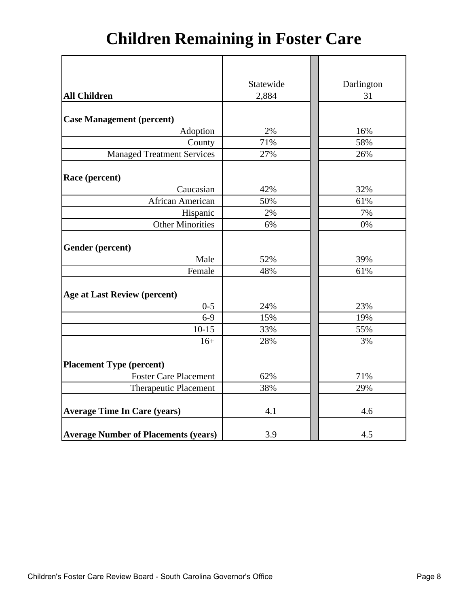# **Children Remaining in Foster Care**

|                                             | Statewide | Darlington |
|---------------------------------------------|-----------|------------|
| <b>All Children</b>                         | 2,884     | 31         |
|                                             |           |            |
| <b>Case Management (percent)</b>            |           |            |
| Adoption                                    | 2%        | 16%        |
| County                                      | 71%       | 58%        |
| <b>Managed Treatment Services</b>           | 27%       | 26%        |
|                                             |           |            |
| Race (percent)                              |           |            |
| Caucasian                                   | 42%       | 32%        |
| African American                            | 50%       | 61%        |
| Hispanic                                    | 2%        | 7%         |
| <b>Other Minorities</b>                     | 6%        | 0%         |
|                                             |           |            |
| Gender (percent)                            |           |            |
| Male                                        | 52%       | 39%        |
| Female                                      | 48%       | 61%        |
|                                             |           |            |
| <b>Age at Last Review (percent)</b>         |           |            |
| $0 - 5$                                     | 24%       | 23%        |
| $6 - 9$                                     | 15%       | 19%        |
| $10-15$                                     | 33%       | 55%        |
| $16+$                                       | 28%       | 3%         |
|                                             |           |            |
| <b>Placement Type (percent)</b>             |           |            |
| <b>Foster Care Placement</b>                | 62%       | 71%        |
| Therapeutic Placement                       | 38%       | 29%        |
|                                             |           |            |
| <b>Average Time In Care (years)</b>         | 4.1       | 4.6        |
| <b>Average Number of Placements (years)</b> | 3.9       | 4.5        |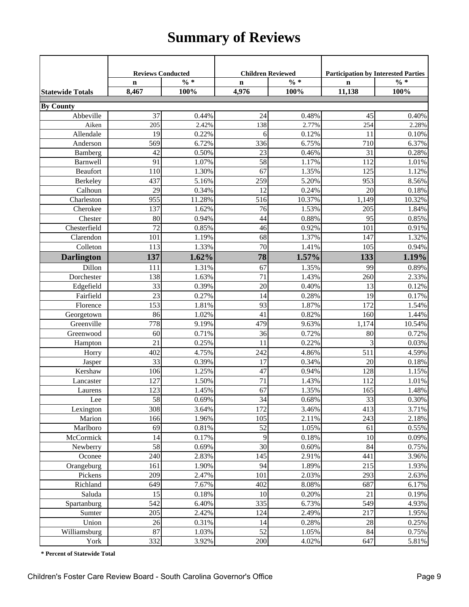## **Summary of Reviews**

|                         | <b>Reviews Conducted</b> |              | <b>Children Reviewed</b> |        | <b>Participation by Interested Parties</b> |                 |
|-------------------------|--------------------------|--------------|--------------------------|--------|--------------------------------------------|-----------------|
|                         | $\mathbf n$              | $\sqrt{0}$ * | $\mathbf n$              | $\% *$ | $\mathbf n$                                | $\frac{0}{6}$ * |
| <b>Statewide Totals</b> | 8,467                    | 100%         | 4,976                    | 100%   | 11,138                                     | 100%            |
| <b>By County</b>        |                          |              |                          |        |                                            |                 |
| Abbeville               | 37                       | 0.44%        | 24                       | 0.48%  | 45                                         | 0.40%           |
| Aiken                   | 205                      | 2.42%        | 138                      | 2.77%  | 254                                        | 2.28%           |
| Allendale               | 19                       | 0.22%        | 6                        | 0.12%  | 11                                         | 0.10%           |
| Anderson                | 569                      | 6.72%        | 336                      | 6.75%  | 710                                        | 6.37%           |
| Bamberg                 | 42                       | 0.50%        | 23                       | 0.46%  | 31                                         | 0.28%           |
| Barnwell                | 91                       | 1.07%        | $\overline{58}$          | 1.17%  | 112                                        | 1.01%           |
| <b>Beaufort</b>         | 110                      | 1.30%        | $\overline{67}$          | 1.35%  | 125                                        | 1.12%           |
| Berkeley                | 437                      | 5.16%        | 259                      | 5.20%  | 953                                        | 8.56%           |
| Calhoun                 | 29                       | 0.34%        | 12                       | 0.24%  | 20                                         | $0.18\%$        |
| Charleston              | 955                      | 11.28%       | 516                      | 10.37% | 1,149                                      | 10.32%          |
| Cherokee                | 137                      | 1.62%        | 76                       | 1.53%  | 205                                        | 1.84%           |
| Chester                 | 80                       | 0.94%        | 44                       | 0.88%  | 95                                         | 0.85%           |
| Chesterfield            | 72                       | 0.85%        | 46                       | 0.92%  | 101                                        | 0.91%           |
| Clarendon               | 101                      | 1.19%        | 68                       | 1.37%  | 147                                        | 1.32%           |
| Colleton                | 113                      | 1.33%        | 70                       | 1.41%  | 105                                        | 0.94%           |
| <b>Darlington</b>       | 137                      | 1.62%        | 78                       | 1.57%  | 133                                        | 1.19%           |
| Dillon                  | 111                      | 1.31%        | 67                       | 1.35%  | 99                                         | 0.89%           |
| Dorchester              | 138                      | 1.63%        | 71                       | 1.43%  | 260                                        | 2.33%           |
| Edgefield               | 33                       | 0.39%        | 20                       | 0.40%  | 13                                         | 0.12%           |
| Fairfield               | 23                       | 0.27%        | 14                       | 0.28%  | 19                                         | 0.17%           |
| Florence                | 153                      | 1.81%        | 93                       | 1.87%  | 172                                        | 1.54%           |
| Georgetown              | 86                       | 1.02%        | 41                       | 0.82%  | 160                                        | 1.44%           |
| Greenville              | 778                      | 9.19%        | 479                      | 9.63%  | 1,174                                      | 10.54%          |
| Greenwood               | 60                       | 0.71%        | 36                       | 0.72%  | 80                                         | 0.72%           |
| Hampton                 | 21                       | 0.25%        | 11                       | 0.22%  | 3                                          | 0.03%           |
| Horry                   | 402                      | 4.75%        | 242                      | 4.86%  | 511                                        | 4.59%           |
| Jasper                  | 33                       | 0.39%        | 17                       | 0.34%  | 20                                         | 0.18%           |
| Kershaw                 | 106                      | 1.25%        | 47                       | 0.94%  | 128                                        | 1.15%           |
| Lancaster               | 127                      | 1.50%        | 71                       | 1.43%  | 112                                        | 1.01%           |
| Laurens                 | 123                      | 1.45%        | 67                       | 1.35%  | 165                                        | 1.48%           |
| Lee                     | 58                       | 0.69%        | 34                       | 0.68%  | 33                                         | $0.30\%$        |
| Lexington               | 308                      | 3.64%        | 172                      | 3.46%  | 413                                        | 3.71%           |
| Marion                  | 166                      | 1.96%        | 105                      | 2.11%  | 243                                        | 2.18%           |
| Marlboro                | 69                       | 0.81%        | 52                       | 1.05%  | 61                                         | 0.55%           |
| McCormick               | 14                       | 0.17%        | 9                        | 0.18%  | 10                                         | 0.09%           |
| Newberry                | 58                       | 0.69%        | 30                       | 0.60%  | 84                                         | 0.75%           |
| Oconee                  | 240                      | 2.83%        | 145                      | 2.91%  | 441                                        | 3.96%           |
| Orangeburg              | 161                      | 1.90%        | 94                       | 1.89%  | 215                                        | 1.93%           |
| Pickens                 | 209                      | 2.47%        | 101                      | 2.03%  | 293                                        | 2.63%           |
| Richland                | 649                      | 7.67%        | 402                      | 8.08%  | 687                                        | 6.17%           |
| Saluda                  | 15                       | 0.18%        | 10                       | 0.20%  | 21                                         | 0.19%           |
| Spartanburg             | 542                      | 6.40%        | 335                      | 6.73%  | 549                                        | 4.93%           |
| Sumter                  | 205                      | 2.42%        | 124                      | 2.49%  | 217                                        | 1.95%           |
| Union                   | 26                       | 0.31%        | 14                       | 0.28%  | 28                                         | 0.25%           |
| Williamsburg            | 87                       | 1.03%        | 52                       | 1.05%  | 84                                         | 0.75%           |
| York                    | 332                      | 3.92%        | 200                      | 4.02%  | 647                                        | 5.81%           |

**\* Percent of Statewide Total**